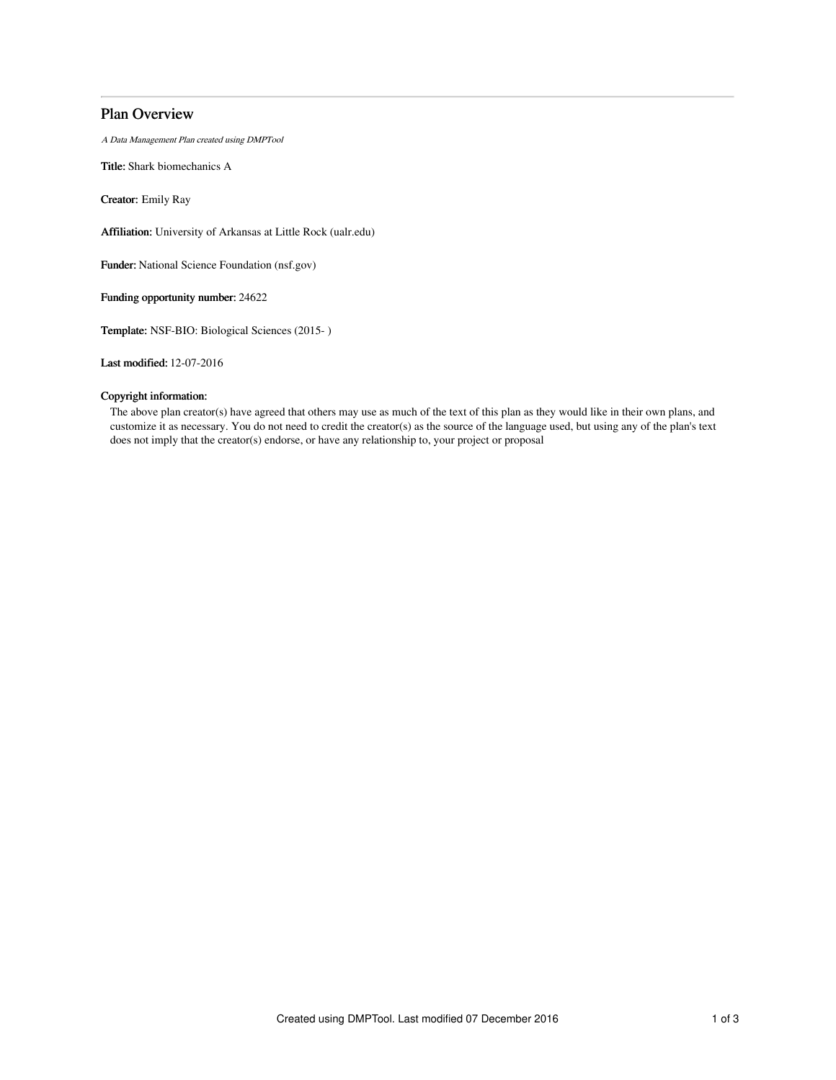# Plan Overview

A Data Management Plan created using DMPTool

Title: Shark biomechanics A

Creator: Emily Ray

Affiliation: University of Arkansas at Little Rock (ualr.edu)

Funder: National Science Foundation (nsf.gov)

Funding opportunity number: 24622

Template: NSF-BIO: Biological Sciences (2015- )

Last modified: 12-07-2016

# Copyright information:

The above plan creator(s) have agreed that others may use as much of the text of this plan as they would like in their own plans, and customize it as necessary. You do not need to credit the creator(s) as the source of the language used, but using any of the plan's text does not imply that the creator(s) endorse, or have any relationship to, your project or proposal